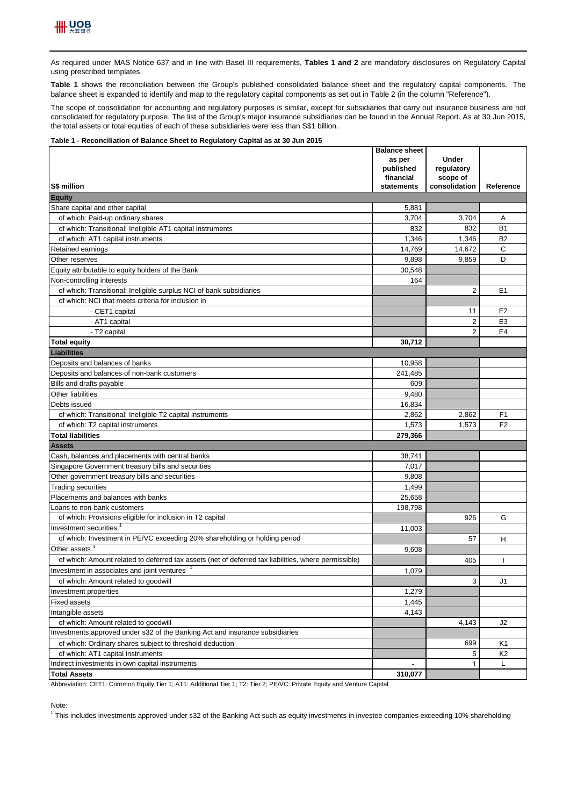

As required under MAS Notice 637 and in line with Basel III requirements, Tables 1 and 2 are mandatory disclosures on Regulatory Capital using prescribed templates.

**Table 1** shows the reconciliation between the Group's published consolidated balance sheet and the regulatory capital components. The balance sheet is expanded to identify and map to the regulatory capital components as set out in Table 2 (in the column "Reference").

The scope of consolidation for accounting and regulatory purposes is similar, except for subsidiaries that carry out insurance business are not consolidated for regulatory purpose. The list of the Group's major insurance subsidiaries can be found in the Annual Report. As at 30 Jun 2015, the total assets or total equities of each of these subsidiaries were less than S\$1 billion.

## **Table 1 - Reconciliation of Balance Sheet to Regulatory Capital as at 30 Jun 2015**

|                                                                                                      | <b>Balance sheet</b><br>as per | <b>Under</b>   |                |
|------------------------------------------------------------------------------------------------------|--------------------------------|----------------|----------------|
|                                                                                                      | published                      | regulatory     |                |
|                                                                                                      | financial                      | scope of       |                |
| S\$ million                                                                                          | statements                     | consolidation  | Reference      |
| <b>Equity</b>                                                                                        |                                |                |                |
| Share capital and other capital                                                                      | 5,881                          |                |                |
| of which: Paid-up ordinary shares                                                                    | 3,704                          | 3,704          | Α              |
| of which: Transitional: Ineligible AT1 capital instruments                                           | 832                            | 832            | <b>B1</b>      |
| of which: AT1 capital instruments                                                                    | 1,346                          | 1,346          | <b>B2</b>      |
| Retained earnings                                                                                    | 14,769                         | 14,672         | C              |
| Other reserves                                                                                       | 9,898                          | 9,859          | D              |
| Equity attributable to equity holders of the Bank                                                    | 30,548                         |                |                |
| Non-controlling interests                                                                            | 164                            |                |                |
| of which: Transitional: Ineligible surplus NCI of bank subsidiaries                                  |                                | $\overline{2}$ | E1             |
| of which: NCI that meets criteria for inclusion in                                                   |                                |                |                |
| - CET1 capital                                                                                       |                                | 11             | E <sub>2</sub> |
| - AT1 capital                                                                                        |                                | $\overline{2}$ | E <sub>3</sub> |
| - T2 capital                                                                                         |                                | $\overline{2}$ | E <sub>4</sub> |
| <b>Total equity</b>                                                                                  | 30,712                         |                |                |
| <b>Liabilities</b>                                                                                   |                                |                |                |
| Deposits and balances of banks                                                                       | 10,958                         |                |                |
| Deposits and balances of non-bank customers                                                          | 241,485                        |                |                |
| Bills and drafts payable                                                                             | 609                            |                |                |
| Other liabilities                                                                                    | 9,480                          |                |                |
| Debts issued                                                                                         | 16,834                         |                |                |
| of which: Transitional: Ineligible T2 capital instruments                                            | 2,862                          | 2,862          | F <sub>1</sub> |
| of which: T2 capital instruments                                                                     | 1,573                          | 1,573          | F <sub>2</sub> |
| <b>Total liabilities</b>                                                                             | 279,366                        |                |                |
| Assets                                                                                               |                                |                |                |
| Cash, balances and placements with central banks                                                     | 38,741                         |                |                |
| Singapore Government treasury bills and securities                                                   | 7,017                          |                |                |
| Other government treasury bills and securities                                                       | 9,808                          |                |                |
| <b>Trading securities</b>                                                                            | 1,499                          |                |                |
| Placements and balances with banks                                                                   | 25,658                         |                |                |
| Loans to non-bank customers                                                                          | 198,798                        |                |                |
| of which: Provisions eligible for inclusion in T2 capital                                            |                                | 926            | G              |
| Investment securities <sup>1</sup>                                                                   | 11,003                         |                |                |
| of which: Investment in PE/VC exceeding 20% shareholding or holding period                           |                                | 57             | н              |
| Other assets                                                                                         | 9,608                          |                |                |
| of which: Amount related to deferred tax assets (net of deferred tax liabilities, where permissible) |                                | 405            |                |
| Investment in associates and joint ventures                                                          | 1,079                          |                |                |
| of which: Amount related to goodwill                                                                 |                                | 3              | J1             |
| Investment properties                                                                                | 1,279                          |                |                |
| <b>Fixed assets</b>                                                                                  | 1,445                          |                |                |
| Intangible assets                                                                                    | 4,143                          |                |                |
| of which: Amount related to goodwill                                                                 |                                | 4,143          | J2             |
| Investments approved under s32 of the Banking Act and insurance subsidiaries                         |                                |                |                |
| of which: Ordinary shares subject to threshold deduction                                             |                                | 699            | K1             |
| of which: AT1 capital instruments                                                                    |                                | 5              | K2             |
| Indirect investments in own capital instruments                                                      |                                | $\mathbf{1}$   | Г              |
| <b>Total Assets</b>                                                                                  | 310,077                        |                |                |

Abbreviation: CET1: Common Equity Tier 1; AT1: Additional Tier 1; T2: Tier 2; PE/VC: Private Equity and Venture Capital

Note:

<sup>1</sup> This includes investments approved under s32 of the Banking Act such as equity investments in investee companies exceeding 10% shareholding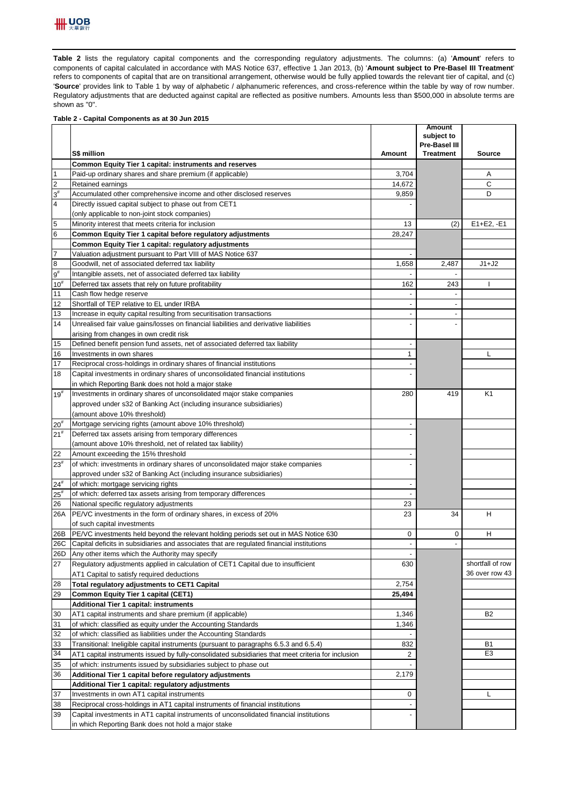

Table 2 lists the regulatory capital components and the corresponding regulatory adjustments. The columns: (a) 'Amount' refers to components of capital calculated in accordance with MAS Notice 637, effective 1 Jan 2013, (b) '**Amount subject to Pre-Basel III Treatment**' refers to components of capital that are on transitional arrangement, otherwise would be fully applied towards the relevant tier of capital, and (c) '**Source**' provides link to Table 1 by way of alphabetic / alphanumeric references, and cross-reference within the table by way of row number. Regulatory adjustments that are deducted against capital are reflected as positive numbers. Amounts less than \$500,000 in absolute terms are shown as "0".

## **Table 2 - Capital Components as at 30 Jun 2015**

|                 |                                                                                                    |                          | <b>Amount</b><br>subject to |                  |
|-----------------|----------------------------------------------------------------------------------------------------|--------------------------|-----------------------------|------------------|
|                 |                                                                                                    |                          | Pre-Basel III               |                  |
|                 | S\$ million                                                                                        | Amount                   | <b>Treatment</b>            | <b>Source</b>    |
|                 | Common Equity Tier 1 capital: instruments and reserves                                             |                          |                             |                  |
| $\overline{1}$  | Paid-up ordinary shares and share premium (if applicable)                                          | 3,704                    |                             | Α                |
| $\overline{2}$  | Retained earnings                                                                                  | 14,672                   |                             | C                |
| $3^{\sharp}$    | Accumulated other comprehensive income and other disclosed reserves                                | 9,859                    |                             | D                |
| 4               | Directly issued capital subject to phase out from CET1                                             |                          |                             |                  |
|                 | (only applicable to non-joint stock companies)                                                     |                          |                             |                  |
| 5               | Minority interest that meets criteria for inclusion                                                | 13                       | (2)                         | $E1 + E2, -E1$   |
| $\bf 6$         | Common Equity Tier 1 capital before regulatory adjustments                                         | 28,247                   |                             |                  |
|                 | Common Equity Tier 1 capital: regulatory adjustments                                               |                          |                             |                  |
| $\overline{7}$  | Valuation adjustment pursuant to Part VIII of MAS Notice 637                                       | $\overline{\phantom{a}}$ |                             |                  |
| $\bf{8}$        | Goodwill, net of associated deferred tax liability                                                 | 1,658                    | 2,487                       | $J1+J2$          |
| $9^{\rm \#}$    | Intangible assets, net of associated deferred tax liability                                        |                          | $\overline{a}$              |                  |
| $10^{#}$        | Deferred tax assets that rely on future profitability                                              | 162                      | 243                         |                  |
| 11              | Cash flow hedge reserve                                                                            |                          |                             |                  |
| 12              | Shortfall of TEP relative to EL under IRBA                                                         | $\overline{a}$           |                             |                  |
| 13              | Increase in equity capital resulting from securitisation transactions                              | $\overline{\phantom{a}}$ | $\overline{\phantom{a}}$    |                  |
| 14              | Unrealised fair value gains/losses on financial liabilities and derivative liabilities             |                          |                             |                  |
|                 | arising from changes in own credit risk                                                            |                          |                             |                  |
| 15              | Defined benefit pension fund assets, net of associated deferred tax liability                      | $\overline{\phantom{a}}$ |                             |                  |
| 16              | Investments in own shares                                                                          | $\mathbf{1}$             |                             | L                |
| 17              | Reciprocal cross-holdings in ordinary shares of financial institutions                             |                          |                             |                  |
| 18              | Capital investments in ordinary shares of unconsolidated financial institutions                    |                          |                             |                  |
|                 | in which Reporting Bank does not hold a major stake                                                |                          |                             |                  |
| $19^{#}$        | Investments in ordinary shares of unconsolidated major stake companies                             | 280                      | 419                         | K1               |
|                 | approved under s32 of Banking Act (including insurance subsidiaries)                               |                          |                             |                  |
|                 | (amount above 10% threshold)                                                                       |                          |                             |                  |
| 20 <sup>#</sup> | Mortgage servicing rights (amount above 10% threshold)                                             |                          |                             |                  |
| 21 <sup>#</sup> | Deferred tax assets arising from temporary differences                                             |                          |                             |                  |
|                 | (amount above 10% threshold, net of related tax liability)                                         |                          |                             |                  |
| 22              | Amount exceeding the 15% threshold                                                                 |                          |                             |                  |
| $23^{\#}$       | of which: investments in ordinary shares of unconsolidated major stake companies                   |                          |                             |                  |
|                 | approved under s32 of Banking Act (including insurance subsidiaries)                               |                          |                             |                  |
| $24^{#}$        | of which: mortgage servicing rights                                                                |                          |                             |                  |
| $25^{\rm{*}}$   | of which: deferred tax assets arising from temporary differences                                   |                          |                             |                  |
| 26              | National specific regulatory adjustments                                                           | 23                       |                             |                  |
| 26A             | PE/VC investments in the form of ordinary shares, in excess of 20%                                 | 23                       | 34                          | н                |
|                 | of such capital investments                                                                        |                          |                             |                  |
| 26B             | PE/VC investments held beyond the relevant holding periods set out in MAS Notice 630               | 0                        | 0                           | н                |
| 26C             | Capital deficits in subsidiaries and associates that are regulated financial institutions          |                          | $\overline{a}$              |                  |
| 26D             | Any other items which the Authority may specify                                                    |                          |                             |                  |
| 27              | Regulatory adjustments applied in calculation of CET1 Capital due to insufficient                  | 630                      |                             | shortfall of row |
|                 | AT1 Capital to satisfy required deductions                                                         |                          |                             | 36 over row 43   |
| 28              | Total regulatory adjustments to CET1 Capital                                                       | 2,754                    |                             |                  |
| 29              | Common Equity Tier 1 capital (CET1)                                                                | 25,494                   |                             |                  |
|                 | <b>Additional Tier 1 capital: instruments</b>                                                      |                          |                             |                  |
| 30              | AT1 capital instruments and share premium (if applicable)                                          | 1,346                    |                             | B <sub>2</sub>   |
| 31              | of which: classified as equity under the Accounting Standards                                      | 1,346                    |                             |                  |
| 32              | of which: classified as liabilities under the Accounting Standards                                 |                          |                             |                  |
| 33              | Transitional: Ineligible capital instruments (pursuant to paragraphs 6.5.3 and 6.5.4)              | 832                      |                             | B1               |
| 34              | AT1 capital instruments issued by fully-consolidated subsidiaries that meet criteria for inclusion | 2                        |                             | E <sub>3</sub>   |
| 35              | of which: instruments issued by subsidiaries subject to phase out                                  |                          |                             |                  |
| 36              | Additional Tier 1 capital before regulatory adjustments                                            | 2,179                    |                             |                  |
|                 | Additional Tier 1 capital: regulatory adjustments                                                  |                          |                             |                  |
| 37              | Investments in own AT1 capital instruments                                                         | 0                        |                             | L                |
| 38              | Reciprocal cross-holdings in AT1 capital instruments of financial institutions                     |                          |                             |                  |
| 39              | Capital investments in AT1 capital instruments of unconsolidated financial institutions            |                          |                             |                  |
|                 | in which Reporting Bank does not hold a major stake                                                |                          |                             |                  |
|                 |                                                                                                    |                          |                             |                  |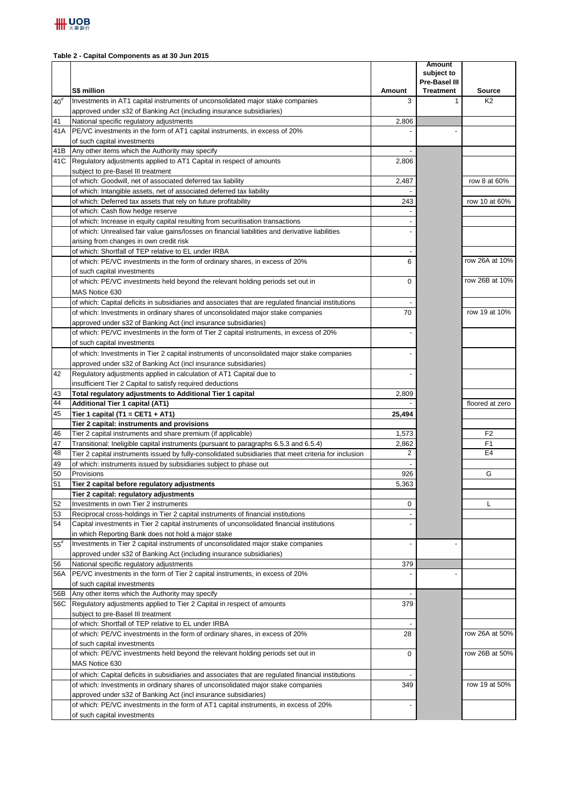## **Table 2 - Capital Components as at 30 Jun 2015**

|               |                                                                                                                           |                | <b>Amount</b><br>subject to<br>Pre-Basel III |                                 |
|---------------|---------------------------------------------------------------------------------------------------------------------------|----------------|----------------------------------------------|---------------------------------|
| $40^{#}$      | S\$ million<br>Investments in AT1 capital instruments of unconsolidated major stake companies                             | Amount<br>3    | <b>Treatment</b><br>$\mathbf{1}$             | <b>Source</b><br>K <sub>2</sub> |
|               | approved under s32 of Banking Act (including insurance subsidiaries)                                                      |                |                                              |                                 |
| 41            | National specific regulatory adjustments                                                                                  | 2,806          |                                              |                                 |
| 41A           | PE/VC investments in the form of AT1 capital instruments, in excess of 20%                                                |                |                                              |                                 |
|               | of such capital investments                                                                                               |                |                                              |                                 |
| 41B           | Any other items which the Authority may specify                                                                           |                |                                              |                                 |
| 41C           | Regulatory adjustments applied to AT1 Capital in respect of amounts                                                       | 2,806          |                                              |                                 |
|               | subject to pre-Basel III treatment                                                                                        |                |                                              |                                 |
|               | of which: Goodwill, net of associated deferred tax liability                                                              | 2,487          |                                              | row 8 at 60%                    |
|               | of which: Intangible assets, net of associated deferred tax liability                                                     |                |                                              |                                 |
|               | of which: Deferred tax assets that rely on future profitability                                                           | 243            |                                              | row 10 at 60%                   |
|               | of which: Cash flow hedge reserve<br>of which: Increase in equity capital resulting from securitisation transactions      |                |                                              |                                 |
|               | of which: Unrealised fair value gains/losses on financial liabilities and derivative liabilities                          |                |                                              |                                 |
|               | arising from changes in own credit risk                                                                                   |                |                                              |                                 |
|               | of which: Shortfall of TEP relative to EL under IRBA                                                                      |                |                                              |                                 |
|               | of which: PE/VC investments in the form of ordinary shares, in excess of 20%                                              | 6              |                                              | row 26A at 10%                  |
|               | of such capital investments                                                                                               |                |                                              |                                 |
|               | of which: PE/VC investments held beyond the relevant holding periods set out in                                           | 0              |                                              | row 26B at 10%                  |
|               | MAS Notice 630                                                                                                            |                |                                              |                                 |
|               | of which: Capital deficits in subsidiaries and associates that are regulated financial institutions                       |                |                                              |                                 |
|               | of which: Investments in ordinary shares of unconsolidated major stake companies                                          | 70             |                                              | row 19 at 10%                   |
|               | approved under s32 of Banking Act (incl insurance subsidiaries)                                                           |                |                                              |                                 |
|               | of which: PE/VC investments in the form of Tier 2 capital instruments, in excess of 20%                                   |                |                                              |                                 |
|               | of such capital investments                                                                                               |                |                                              |                                 |
|               | of which: Investments in Tier 2 capital instruments of unconsolidated major stake companies                               |                |                                              |                                 |
|               | approved under s32 of Banking Act (incl insurance subsidiaries)                                                           |                |                                              |                                 |
| 42            | Regulatory adjustments applied in calculation of AT1 Capital due to                                                       |                |                                              |                                 |
|               | insufficient Tier 2 Capital to satisfy required deductions                                                                |                |                                              |                                 |
| 43            | Total regulatory adjustments to Additional Tier 1 capital                                                                 | 2,809          |                                              |                                 |
| 44            | Additional Tier 1 capital (AT1)                                                                                           |                |                                              | floored at zero                 |
| 45            | Tier 1 capital (T1 = CET1 + AT1)                                                                                          | 25,494         |                                              |                                 |
| 46            | Tier 2 capital: instruments and provisions<br>Tier 2 capital instruments and share premium (if applicable)                | 1,573          |                                              | F <sub>2</sub>                  |
| 47            | Transitional: Ineligible capital instruments (pursuant to paragraphs 6.5.3 and 6.5.4)                                     | 2,862          |                                              | F1                              |
| 48            | Tier 2 capital instruments issued by fully-consolidated subsidiaries that meet criteria for inclusion                     | $\overline{2}$ |                                              | E <sub>4</sub>                  |
| 49            | of which: instruments issued by subsidiaries subject to phase out                                                         |                |                                              |                                 |
| 50            | Provisions                                                                                                                | 926            |                                              | G                               |
| 51            | Tier 2 capital before regulatory adjustments                                                                              | 5,363          |                                              |                                 |
|               | Tier 2 capital: regulatory adjustments                                                                                    |                |                                              |                                 |
| 52            | Investments in own Tier 2 instruments                                                                                     | 0              |                                              | L                               |
| 53            | Reciprocal cross-holdings in Tier 2 capital instruments of financial institutions                                         |                |                                              |                                 |
| 54            | Capital investments in Tier 2 capital instruments of unconsolidated financial institutions                                |                |                                              |                                 |
|               | in which Reporting Bank does not hold a major stake                                                                       |                |                                              |                                 |
| $55^{\rm \#}$ | Investments in Tier 2 capital instruments of unconsolidated major stake companies                                         |                |                                              |                                 |
|               | approved under s32 of Banking Act (including insurance subsidiaries)                                                      |                |                                              |                                 |
| 56<br>56A     | National specific regulatory adjustments<br>PE/VC investments in the form of Tier 2 capital instruments, in excess of 20% | 379            |                                              |                                 |
|               | of such capital investments                                                                                               |                |                                              |                                 |
| 56B           | Any other items which the Authority may specify                                                                           |                |                                              |                                 |
| 56C           | Regulatory adjustments applied to Tier 2 Capital in respect of amounts                                                    | 379            |                                              |                                 |
|               | subject to pre-Basel III treatment                                                                                        |                |                                              |                                 |
|               | of which: Shortfall of TEP relative to EL under IRBA                                                                      |                |                                              |                                 |
|               | of which: PE/VC investments in the form of ordinary shares, in excess of 20%                                              | 28             |                                              | row 26A at 50%                  |
|               | of such capital investments                                                                                               |                |                                              |                                 |
|               | of which: PE/VC investments held beyond the relevant holding periods set out in                                           | 0              |                                              | row 26B at 50%                  |
|               | MAS Notice 630                                                                                                            |                |                                              |                                 |
|               | of which: Capital deficits in subsidiaries and associates that are regulated financial institutions                       |                |                                              |                                 |
|               | of which: Investments in ordinary shares of unconsolidated major stake companies                                          | 349            |                                              | row 19 at 50%                   |
|               | approved under s32 of Banking Act (incl insurance subsidiaries)                                                           |                |                                              |                                 |
|               | of which: PE/VC investments in the form of AT1 capital instruments, in excess of 20%                                      |                |                                              |                                 |
|               | of such capital investments                                                                                               |                |                                              |                                 |